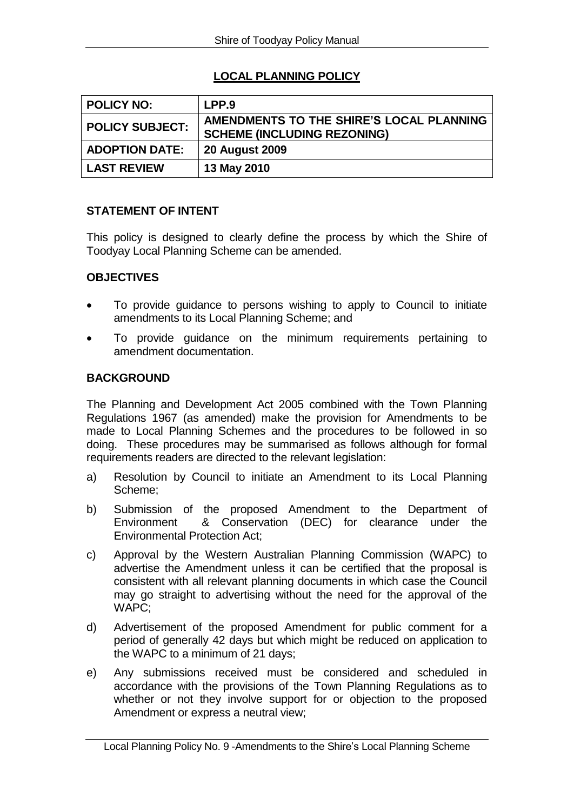# **LOCAL PLANNING POLICY**

| <b>POLICY NO:</b>      | LPP.9                                                                          |
|------------------------|--------------------------------------------------------------------------------|
| <b>POLICY SUBJECT:</b> | AMENDMENTS TO THE SHIRE'S LOCAL PLANNING<br><b>SCHEME (INCLUDING REZONING)</b> |
| <b>ADOPTION DATE:</b>  | <b>20 August 2009</b>                                                          |
| <b>LAST REVIEW</b>     | 13 May 2010                                                                    |

# **STATEMENT OF INTENT**

This policy is designed to clearly define the process by which the Shire of Toodyay Local Planning Scheme can be amended.

# **OBJECTIVES**

- To provide guidance to persons wishing to apply to Council to initiate amendments to its Local Planning Scheme; and
- To provide guidance on the minimum requirements pertaining to amendment documentation.

## **BACKGROUND**

The Planning and Development Act 2005 combined with the Town Planning Regulations 1967 (as amended) make the provision for Amendments to be made to Local Planning Schemes and the procedures to be followed in so doing. These procedures may be summarised as follows although for formal requirements readers are directed to the relevant legislation:

- a) Resolution by Council to initiate an Amendment to its Local Planning Scheme;
- b) Submission of the proposed Amendment to the Department of Environment & Conservation (DEC) for clearance under the Environmental Protection Act;
- c) Approval by the Western Australian Planning Commission (WAPC) to advertise the Amendment unless it can be certified that the proposal is consistent with all relevant planning documents in which case the Council may go straight to advertising without the need for the approval of the WAPC;
- d) Advertisement of the proposed Amendment for public comment for a period of generally 42 days but which might be reduced on application to the WAPC to a minimum of 21 days;
- e) Any submissions received must be considered and scheduled in accordance with the provisions of the Town Planning Regulations as to whether or not they involve support for or objection to the proposed Amendment or express a neutral view;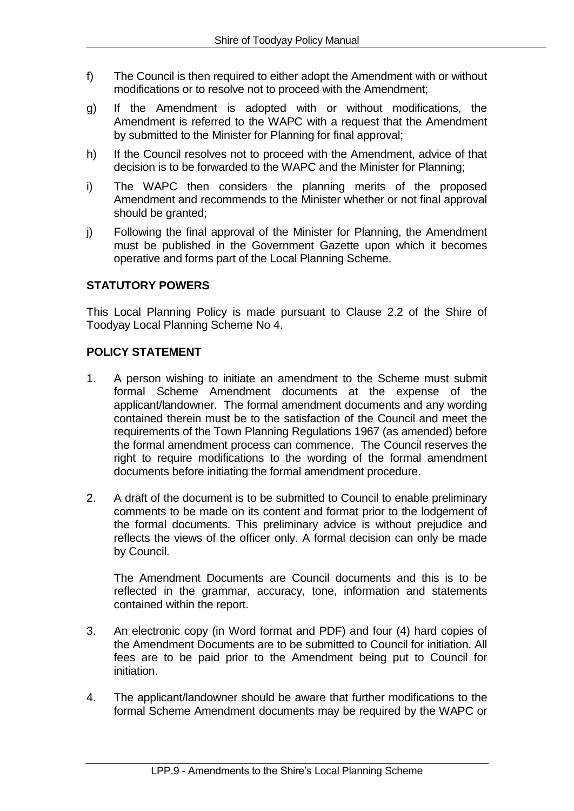- f) The Council is then required to either adopt the Amendment with or without modifications or to resolve not to proceed with the Amendment;
- g) If the Amendment is adopted with or without modifications, the Amendment is referred to the WAPC with a request that the Amendment by submitted to the Minister for Planning for final approval;
- h) If the Council resolves not to proceed with the Amendment, advice of that decision is to be forwarded to the WAPC and the Minister for Planning;
- i) The WAPC then considers the planning merits of the proposed Amendment and recommends to the Minister whether or not final approval should be granted;
- j) Following the final approval of the Minister for Planning, the Amendment must be published in the Government Gazette upon which it becomes operative and forms part of the Local Planning Scheme.

## **STATUTORY POWERS**

This Local Planning Policy is made pursuant to Clause 2.2 of the Shire of Toodyay Local Planning Scheme No 4.

## **POLICY STATEMENT**

- 1. A person wishing to initiate an amendment to the Scheme must submit formal Scheme Amendment documents at the expense of the applicant/landowner. The formal amendment documents and any wording contained therein must be to the satisfaction of the Council and meet the requirements of the Town Planning Regulations 1967 (as amended) before the formal amendment process can commence. The Council reserves the right to require modifications to the wording of the formal amendment documents before initiating the formal amendment procedure.
- 2. A draft of the document is to be submitted to Council to enable preliminary comments to be made on its content and format prior to the lodgement of the formal documents. This preliminary advice is without prejudice and reflects the views of the officer only. A formal decision can only be made by Council.

The Amendment Documents are Council documents and this is to be reflected in the grammar, accuracy, tone, information and statements contained within the report.

- 3. An electronic copy (in Word format and PDF) and four (4) hard copies of the Amendment Documents are to be submitted to Council for initiation. All fees are to be paid prior to the Amendment being put to Council for initiation.
- 4. The applicant/landowner should be aware that further modifications to the formal Scheme Amendment documents may be required by the WAPC or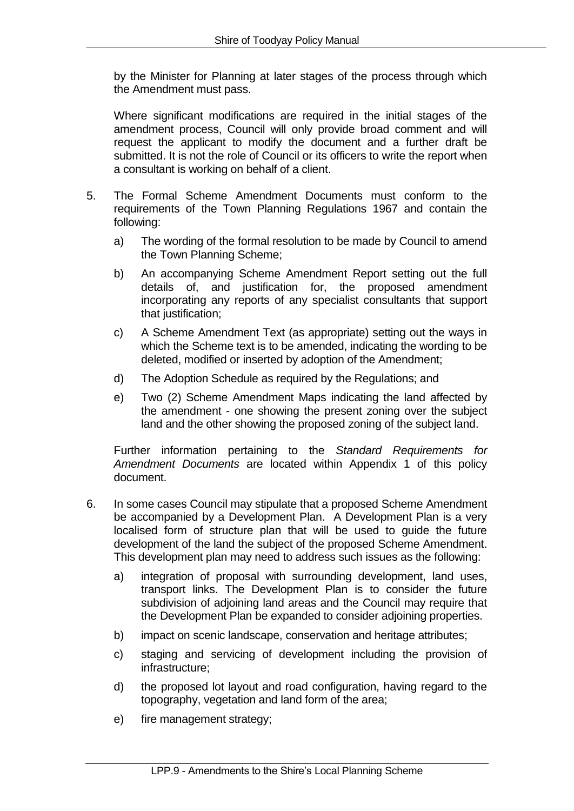by the Minister for Planning at later stages of the process through which the Amendment must pass.

Where significant modifications are required in the initial stages of the amendment process, Council will only provide broad comment and will request the applicant to modify the document and a further draft be submitted. It is not the role of Council or its officers to write the report when a consultant is working on behalf of a client.

- 5. The Formal Scheme Amendment Documents must conform to the requirements of the Town Planning Regulations 1967 and contain the following:
	- a) The wording of the formal resolution to be made by Council to amend the Town Planning Scheme;
	- b) An accompanying Scheme Amendment Report setting out the full details of, and justification for, the proposed amendment incorporating any reports of any specialist consultants that support that justification:
	- c) A Scheme Amendment Text (as appropriate) setting out the ways in which the Scheme text is to be amended, indicating the wording to be deleted, modified or inserted by adoption of the Amendment;
	- d) The Adoption Schedule as required by the Regulations; and
	- e) Two (2) Scheme Amendment Maps indicating the land affected by the amendment - one showing the present zoning over the subject land and the other showing the proposed zoning of the subject land.

Further information pertaining to the *Standard Requirements for Amendment Documents* are located within Appendix 1 of this policy document.

- 6. In some cases Council may stipulate that a proposed Scheme Amendment be accompanied by a Development Plan. A Development Plan is a very localised form of structure plan that will be used to guide the future development of the land the subject of the proposed Scheme Amendment. This development plan may need to address such issues as the following:
	- a) integration of proposal with surrounding development, land uses, transport links. The Development Plan is to consider the future subdivision of adjoining land areas and the Council may require that the Development Plan be expanded to consider adjoining properties.
	- b) impact on scenic landscape, conservation and heritage attributes;
	- c) staging and servicing of development including the provision of infrastructure;
	- d) the proposed lot layout and road configuration, having regard to the topography, vegetation and land form of the area;
	- e) fire management strategy;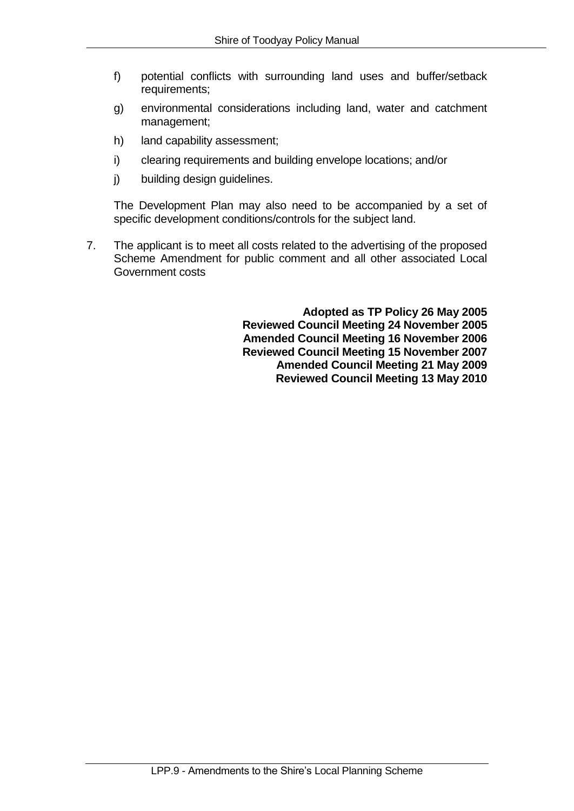- f) potential conflicts with surrounding land uses and buffer/setback requirements;
- g) environmental considerations including land, water and catchment management;
- h) land capability assessment;
- i) clearing requirements and building envelope locations; and/or
- j) building design guidelines.

The Development Plan may also need to be accompanied by a set of specific development conditions/controls for the subject land.

7. The applicant is to meet all costs related to the advertising of the proposed Scheme Amendment for public comment and all other associated Local Government costs

> **Adopted as TP Policy 26 May 2005 Reviewed Council Meeting 24 November 2005 Amended Council Meeting 16 November 2006 Reviewed Council Meeting 15 November 2007 Amended Council Meeting 21 May 2009 Reviewed Council Meeting 13 May 2010**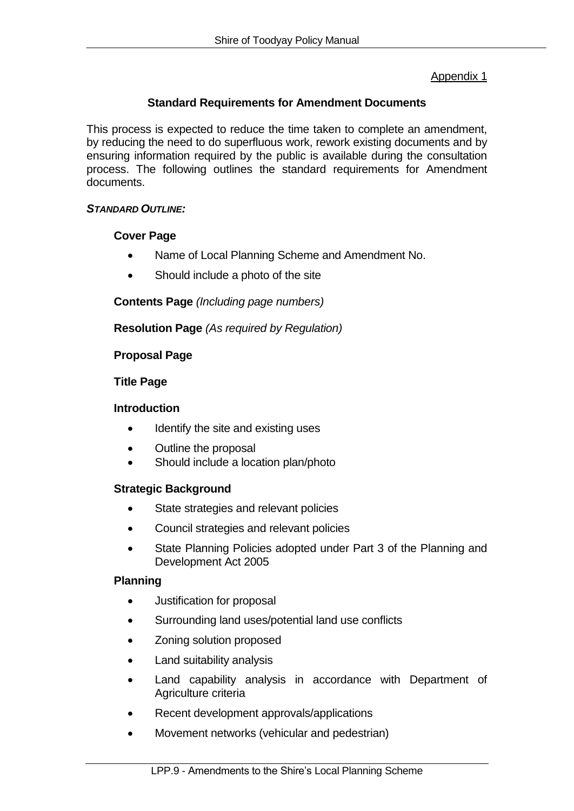## Appendix 1

## **Standard Requirements for Amendment Documents**

This process is expected to reduce the time taken to complete an amendment, by reducing the need to do superfluous work, rework existing documents and by ensuring information required by the public is available during the consultation process. The following outlines the standard requirements for Amendment documents.

#### *STANDARD OUTLINE:*

## **Cover Page**

- Name of Local Planning Scheme and Amendment No.
- Should include a photo of the site

**Contents Page** *(Including page numbers)*

**Resolution Page** *(As required by Regulation)*

## **Proposal Page**

#### **Title Page**

#### **Introduction**

- Identify the site and existing uses
- Outline the proposal
- Should include a location plan/photo

## **Strategic Background**

- State strategies and relevant policies
- Council strategies and relevant policies
- State Planning Policies adopted under Part 3 of the Planning and Development Act 2005

## **Planning**

- Justification for proposal
- Surrounding land uses/potential land use conflicts
- Zoning solution proposed
- Land suitability analysis
- Land capability analysis in accordance with Department of Agriculture criteria
- Recent development approvals/applications
- Movement networks (vehicular and pedestrian)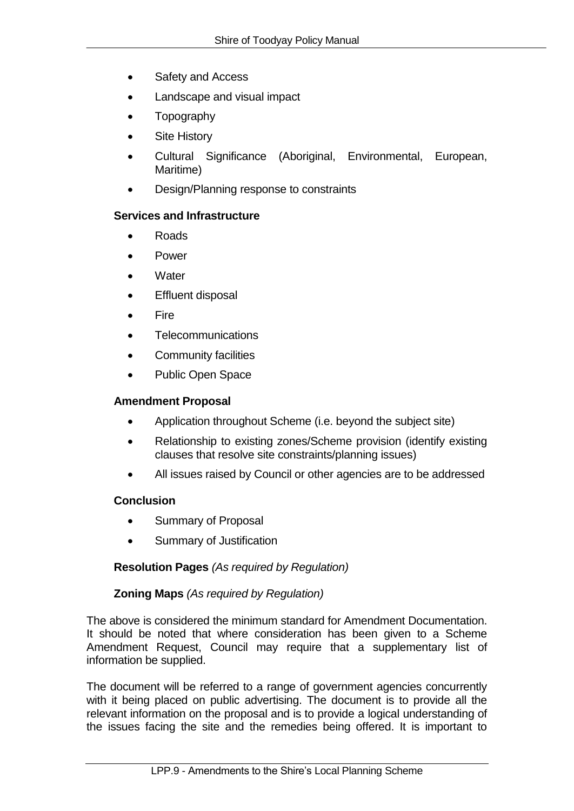- Safety and Access
- Landscape and visual impact
- **Topography**
- Site History
- Cultural Significance (Aboriginal, Environmental, European, Maritime)
- Design/Planning response to constraints

## **Services and Infrastructure**

- Roads
- Power
- **Water**
- Effluent disposal
- Fire
- **Telecommunications**
- Community facilities
- Public Open Space

# **Amendment Proposal**

- Application throughout Scheme (i.e. beyond the subject site)
- Relationship to existing zones/Scheme provision (identify existing clauses that resolve site constraints/planning issues)
- All issues raised by Council or other agencies are to be addressed

## **Conclusion**

- Summary of Proposal
- Summary of Justification

## **Resolution Pages** *(As required by Regulation)*

## **Zoning Maps** *(As required by Regulation)*

The above is considered the minimum standard for Amendment Documentation. It should be noted that where consideration has been given to a Scheme Amendment Request, Council may require that a supplementary list of information be supplied.

The document will be referred to a range of government agencies concurrently with it being placed on public advertising. The document is to provide all the relevant information on the proposal and is to provide a logical understanding of the issues facing the site and the remedies being offered. It is important to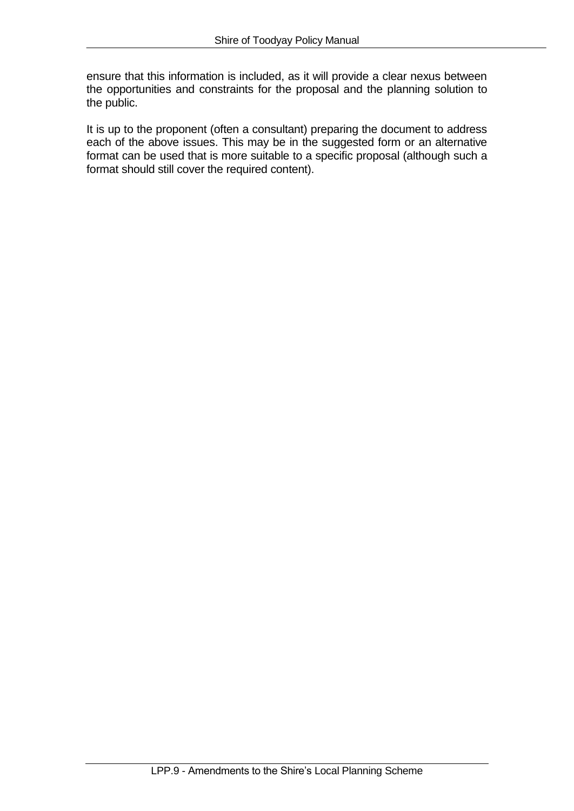ensure that this information is included, as it will provide a clear nexus between the opportunities and constraints for the proposal and the planning solution to the public.

It is up to the proponent (often a consultant) preparing the document to address each of the above issues. This may be in the suggested form or an alternative format can be used that is more suitable to a specific proposal (although such a format should still cover the required content).